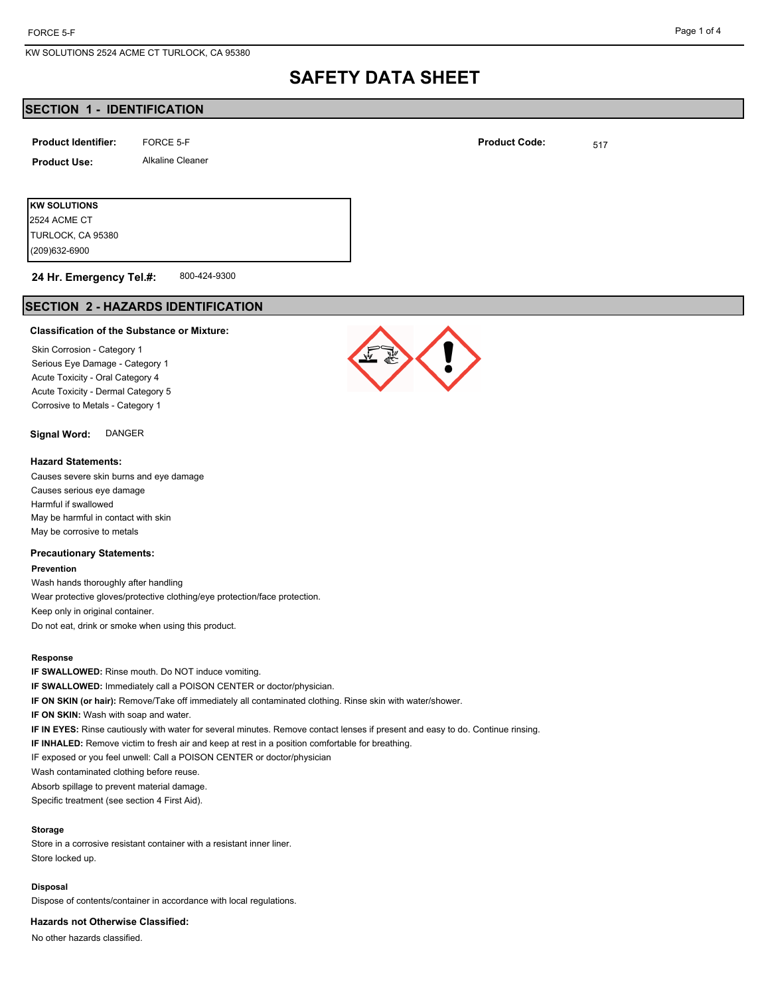## **SECTION 1 - IDENTIFICATION**

| <b>Product Identifier:</b> | FORCE 5-F               | <b>Product Code:</b> | 517 |
|----------------------------|-------------------------|----------------------|-----|
| <b>Product Use:</b>        | <b>Alkaline Cleaner</b> |                      |     |
|                            |                         |                      |     |
| <b>IKW SOLUTIONS</b>       |                         |                      |     |

(209)632-6900 TURLOCK, CA 95380 2524 ACME CT

#### 800-424-9300 **24 Hr. Emergency Tel.#:**

## **SECTION 2 - HAZARDS IDENTIFICATION**

#### **Classification of the Substance or Mixture:**

Skin Corrosion - Category 1 Serious Eye Damage - Category 1 Acute Toxicity - Oral Category 4 Acute Toxicity - Dermal Category 5 Corrosive to Metals - Category 1

**Signal Word:** DANGER

#### **Hazard Statements:**

Causes severe skin burns and eye damage Causes serious eye damage Harmful if swallowed May be harmful in contact with skin May be corrosive to metals

#### **Precautionary Statements:**

#### **Prevention**

Wash hands thoroughly after handling Wear protective gloves/protective clothing/eye protection/face protection. Keep only in original container. Do not eat, drink or smoke when using this product.

#### **Response**

**IF SWALLOWED:** Rinse mouth. Do NOT induce vomiting. **IF SWALLOWED:** Immediately call a POISON CENTER or doctor/physician. **IF ON SKIN (or hair):** Remove/Take off immediately all contaminated clothing. Rinse skin with water/shower. **IF ON SKIN:** Wash with soap and water. **IF IN EYES:** Rinse cautiously with water for several minutes. Remove contact lenses if present and easy to do. Continue rinsing. **IF INHALED:** Remove victim to fresh air and keep at rest in a position comfortable for breathing. IF exposed or you feel unwell: Call a POISON CENTER or doctor/physician Wash contaminated clothing before reuse. Absorb spillage to prevent material damage.

Specific treatment (see section 4 First Aid).

### **Storage**

Store in a corrosive resistant container with a resistant inner liner. Store locked up.

#### **Disposal**

Dispose of contents/container in accordance with local regulations.

#### **Hazards not Otherwise Classified:**

No other hazards classified.

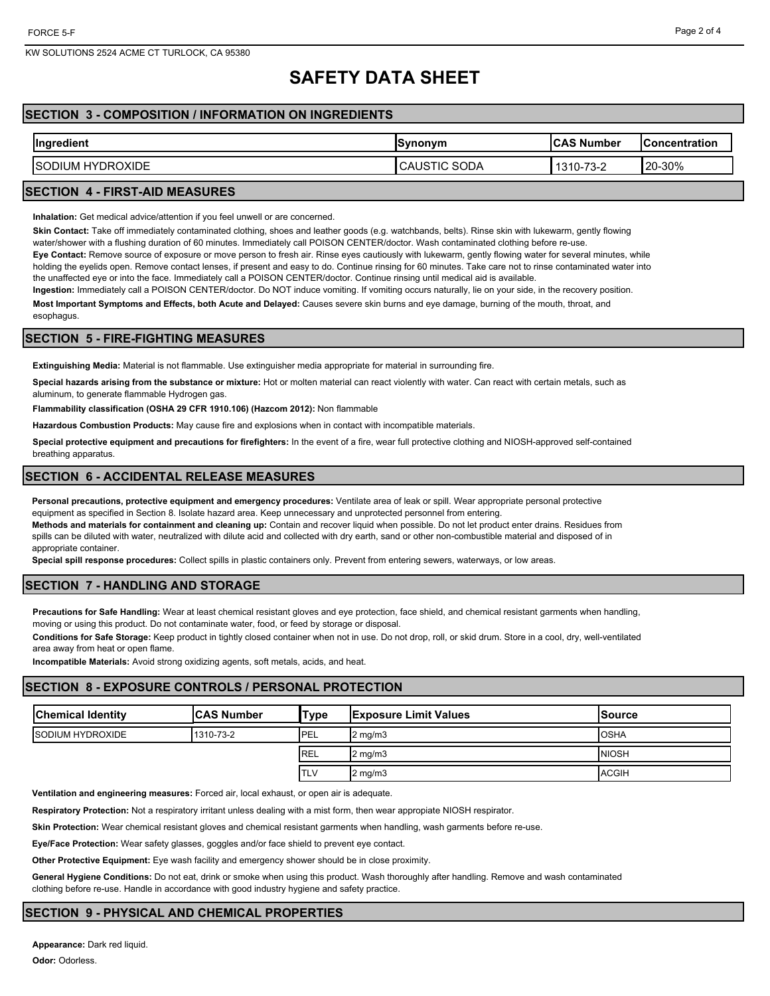## **SECTION 3 - COMPOSITION / INFORMATION ON INGREDIENTS**

| Ingredient               | ISvnonvm               | <b>ICAS Number</b> | <b>IConcentration</b> |
|--------------------------|------------------------|--------------------|-----------------------|
| <b>ISODIUM HYDROXIDE</b> | SODA<br>הו:<br>CAUSTIC | 1310-73-2          | 20-30%                |
|                          |                        |                    |                       |

### **SECTION 4 - FIRST-AID MEASURES**

**Inhalation:** Get medical advice/attention if you feel unwell or are concerned.

**Skin Contact:** Take off immediately contaminated clothing, shoes and leather goods (e.g. watchbands, belts). Rinse skin with lukewarm, gently flowing

water/shower with a flushing duration of 60 minutes. Immediately call POISON CENTER/doctor. Wash contaminated clothing before re-use. **Eye Contact:** Remove source of exposure or move person to fresh air. Rinse eyes cautiously with lukewarm, gently flowing water for several minutes, while holding the eyelids open. Remove contact lenses, if present and easy to do. Continue rinsing for 60 minutes. Take care not to rinse contaminated water into the unaffected eye or into the face. Immediately call a POISON CENTER/doctor. Continue rinsing until medical aid is available.

**Ingestion:** Immediately call a POISON CENTER/doctor. Do NOT induce vomiting. If vomiting occurs naturally, lie on your side, in the recovery position. **Most Important Symptoms and Effects, both Acute and Delayed:** Causes severe skin burns and eye damage, burning of the mouth, throat, and esophagus.

## **SECTION 5 - FIRE-FIGHTING MEASURES**

**Extinguishing Media:** Material is not flammable. Use extinguisher media appropriate for material in surrounding fire.

**Special hazards arising from the substance or mixture:** Hot or molten material can react violently with water. Can react with certain metals, such as aluminum, to generate flammable Hydrogen gas.

**Flammability classification (OSHA 29 CFR 1910.106) (Hazcom 2012):** Non flammable

**Hazardous Combustion Products:** May cause fire and explosions when in contact with incompatible materials.

**Special protective equipment and precautions for firefighters:** In the event of a fire, wear full protective clothing and NIOSH-approved self-contained breathing apparatus.

## **SECTION 6 - ACCIDENTAL RELEASE MEASURES**

**Personal precautions, protective equipment and emergency procedures:** Ventilate area of leak or spill. Wear appropriate personal protective equipment as specified in Section 8. Isolate hazard area. Keep unnecessary and unprotected personnel from entering.

**Methods and materials for containment and cleaning up:** Contain and recover liquid when possible. Do not let product enter drains. Residues from spills can be diluted with water, neutralized with dilute acid and collected with dry earth, sand or other non-combustible material and disposed of in appropriate container.

**Special spill response procedures:** Collect spills in plastic containers only. Prevent from entering sewers, waterways, or low areas.

## **SECTION 7 - HANDLING AND STORAGE**

**Precautions for Safe Handling:** Wear at least chemical resistant gloves and eye protection, face shield, and chemical resistant garments when handling, moving or using this product. Do not contaminate water, food, or feed by storage or disposal.

**Conditions for Safe Storage:** Keep product in tightly closed container when not in use. Do not drop, roll, or skid drum. Store in a cool, dry, well-ventilated area away from heat or open flame.

**Incompatible Materials:** Avoid strong oxidizing agents, soft metals, acids, and heat.

## **SECTION 8 - EXPOSURE CONTROLS / PERSONAL PROTECTION**

| <b>Chemical Identity</b> | <b>ICAS Number</b> | 'Туре       | <b>Exposure Limit Values</b> | lSource      |
|--------------------------|--------------------|-------------|------------------------------|--------------|
| <b>ISODIUM HYDROXIDE</b> | 1310-73-2          | PEL         | $2 \text{ mg/m}$             | <b>OSHA</b>  |
|                          |                    | <b>IREL</b> | $2 \text{ mg/m}$             | <b>NIOSH</b> |
|                          |                    | <b>TLV</b>  | $2 \text{ mg/m}$             | <b>ACGIH</b> |

**Ventilation and engineering measures:** Forced air, local exhaust, or open air is adequate.

**Respiratory Protection:** Not a respiratory irritant unless dealing with a mist form, then wear appropiate NIOSH respirator.

**Skin Protection:** Wear chemical resistant gloves and chemical resistant garments when handling, wash garments before re-use.

**Eye/Face Protection:** Wear safety glasses, goggles and/or face shield to prevent eye contact.

**Other Protective Equipment:** Eye wash facility and emergency shower should be in close proximity.

**General Hygiene Conditions:** Do not eat, drink or smoke when using this product. Wash thoroughly after handling. Remove and wash contaminated clothing before re-use. Handle in accordance with good industry hygiene and safety practice.

### **SECTION 9 - PHYSICAL AND CHEMICAL PROPERTIES**

**Appearance:** Dark red liquid.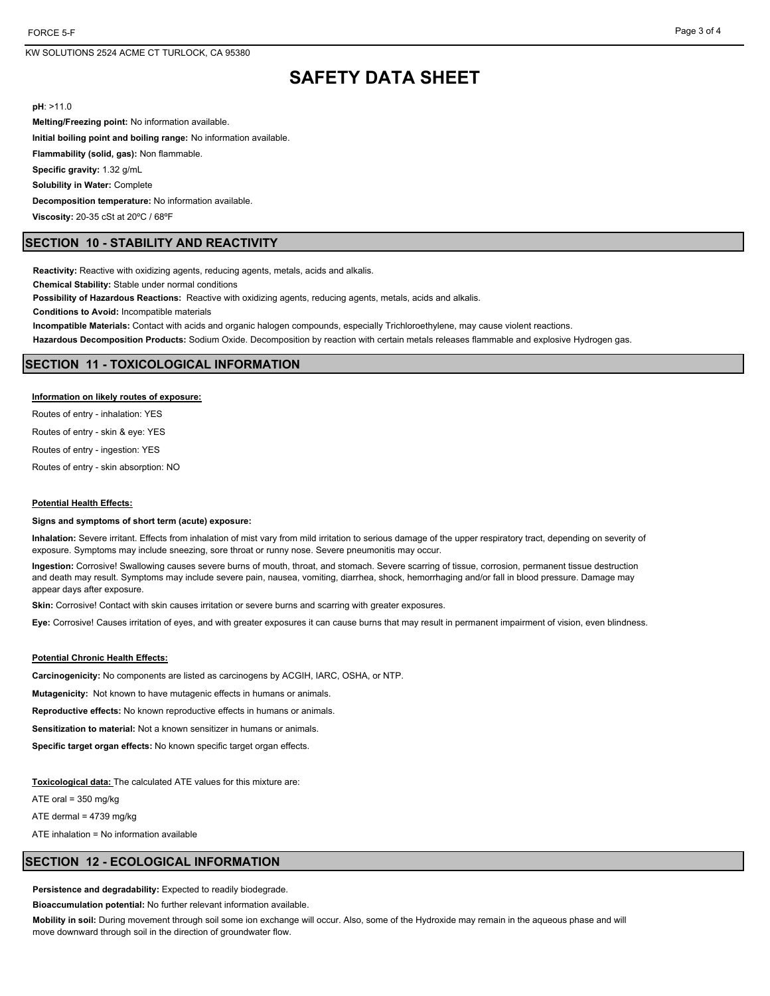**pH**: >11.0

**Melting/Freezing point:** No information available. **Initial boiling point and boiling range:** No information available. **Flammability (solid, gas):** Non flammable. **Specific gravity:** 1.32 g/mL

**Solubility in Water:** Complete

**Decomposition temperature:** No information available.

**Viscosity:** 20-35 cSt at 20ºC / 68ºF

## **SECTION 10 - STABILITY AND REACTIVITY**

**Reactivity:** Reactive with oxidizing agents, reducing agents, metals, acids and alkalis.

**Chemical Stability:** Stable under normal conditions

**Possibility of Hazardous Reactions:** Reactive with oxidizing agents, reducing agents, metals, acids and alkalis.

**Conditions to Avoid:** Incompatible materials

**Incompatible Materials:** Contact with acids and organic halogen compounds, especially Trichloroethylene, may cause violent reactions.

**Hazardous Decomposition Products:** Sodium Oxide. Decomposition by reaction with certain metals releases flammable and explosive Hydrogen gas.

#### **SECTION 11 - TOXICOLOGICAL INFORMATION**

#### **Information on likely routes of exposure:**

Routes of entry - inhalation: YES

Routes of entry - skin & eye: YES

Routes of entry - ingestion: YES

Routes of entry - skin absorption: NO

#### **Potential Health Effects:**

#### **Signs and symptoms of short term (acute) exposure:**

**Inhalation:** Severe irritant. Effects from inhalation of mist vary from mild irritation to serious damage of the upper respiratory tract, depending on severity of exposure. Symptoms may include sneezing, sore throat or runny nose. Severe pneumonitis may occur.

**Ingestion:** Corrosive! Swallowing causes severe burns of mouth, throat, and stomach. Severe scarring of tissue, corrosion, permanent tissue destruction and death may result. Symptoms may include severe pain, nausea, vomiting, diarrhea, shock, hemorrhaging and/or fall in blood pressure. Damage may appear days after exposure.

**Skin:** Corrosive! Contact with skin causes irritation or severe burns and scarring with greater exposures.

**Eye:** Corrosive! Causes irritation of eyes, and with greater exposures it can cause burns that may result in permanent impairment of vision, even blindness.

#### **Potential Chronic Health Effects:**

**Carcinogenicity:** No components are listed as carcinogens by ACGIH, IARC, OSHA, or NTP.

**Mutagenicity:** Not known to have mutagenic effects in humans or animals.

**Reproductive effects:** No known reproductive effects in humans or animals.

**Sensitization to material:** Not a known sensitizer in humans or animals.

**Specific target organ effects:** No known specific target organ effects.

**Toxicological data:** The calculated ATE values for this mixture are:

ATE oral = 350 mg/kg

ATE dermal = 4739 mg/kg

ATE inhalation = No information available

#### **SECTION 12 - ECOLOGICAL INFORMATION**

Persistence and degradability: Expected to readily biodegrade.

**Bioaccumulation potential:** No further relevant information available.

**Mobility in soil:** During movement through soil some ion exchange will occur. Also, some of the Hydroxide may remain in the aqueous phase and will move downward through soil in the direction of groundwater flow.